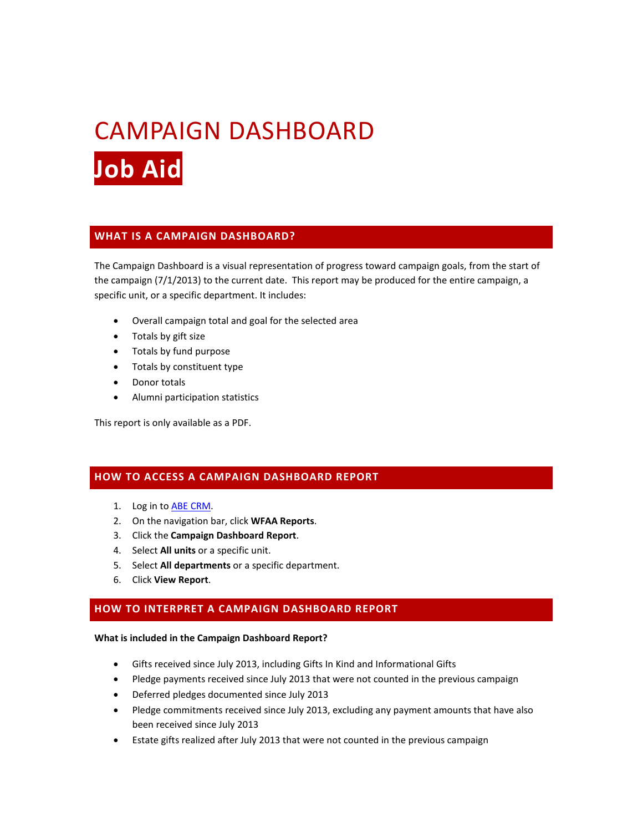# CAMPAIGN DASHBOARD **Job Aid**

## **WHAT IS A CAMPAIGN DASHBOARD?**

The Campaign Dashboard is a visual representation of progress toward campaign goals, from the start of the campaign (7/1/2013) to the current date. This report may be produced for the entire campaign, a specific unit, or a specific department. It includes:

- Overall campaign total and goal for the selected area
- Totals by gift size
- Totals by fund purpose
- Totals by constituent type
- Donor totals
- Alumni participation statistics

This report is only available as a PDF.

## **HOW TO ACCESS A CAMPAIGN DASHBOARD REPORT**

- 1. Log in to [ABE CRM.](https://abe.uwadvancement.org/)
- 2. On the navigation bar, click **WFAA Reports**.
- 3. Click the **Campaign Dashboard Report**.
- 4. Select **All units** or a specific unit.
- 5. Select **All departments** or a specific department.
- 6. Click **View Report**.

## **HOW TO INTERPRET A CAMPAIGN DASHBOARD REPORT**

#### **What is included in the Campaign Dashboard Report?**

- Gifts received since July 2013, including Gifts In Kind and Informational Gifts
- Pledge payments received since July 2013 that were not counted in the previous campaign
- Deferred pledges documented since July 2013
- Pledge commitments received since July 2013, excluding any payment amounts that have also been received since July 2013
- Estate gifts realized after July 2013 that were not counted in the previous campaign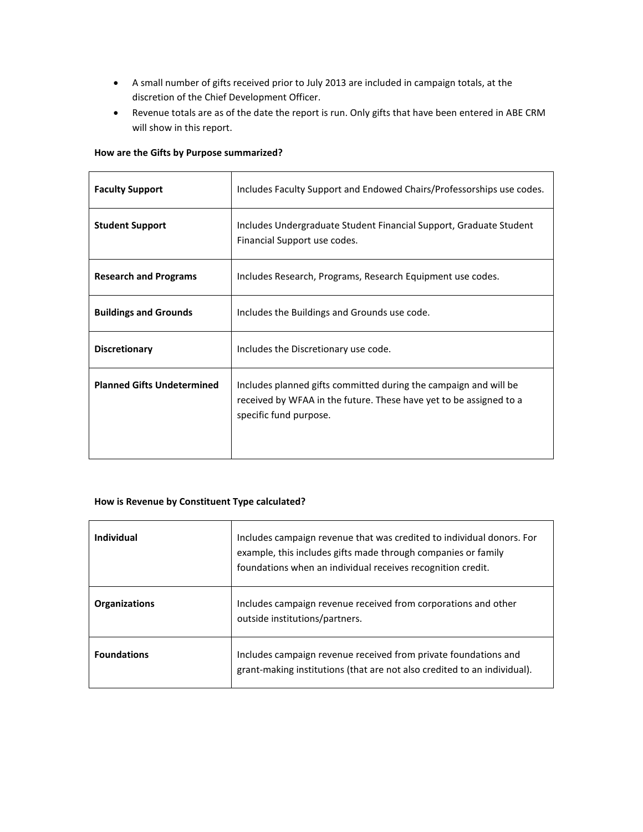- A small number of gifts received prior to July 2013 are included in campaign totals, at the discretion of the Chief Development Officer.
- Revenue totals are as of the date the report is run. Only gifts that have been entered in ABE CRM will show in this report.

### **How are the Gifts by Purpose summarized?**

| <b>Faculty Support</b>            | Includes Faculty Support and Endowed Chairs/Professorships use codes.                                                                                            |
|-----------------------------------|------------------------------------------------------------------------------------------------------------------------------------------------------------------|
| <b>Student Support</b>            | Includes Undergraduate Student Financial Support, Graduate Student<br>Financial Support use codes.                                                               |
| <b>Research and Programs</b>      | Includes Research, Programs, Research Equipment use codes.                                                                                                       |
| <b>Buildings and Grounds</b>      | Includes the Buildings and Grounds use code.                                                                                                                     |
| <b>Discretionary</b>              | Includes the Discretionary use code.                                                                                                                             |
| <b>Planned Gifts Undetermined</b> | Includes planned gifts committed during the campaign and will be<br>received by WFAA in the future. These have yet to be assigned to a<br>specific fund purpose. |

#### **How is Revenue by Constituent Type calculated?**

| Individual           | Includes campaign revenue that was credited to individual donors. For<br>example, this includes gifts made through companies or family<br>foundations when an individual receives recognition credit. |
|----------------------|-------------------------------------------------------------------------------------------------------------------------------------------------------------------------------------------------------|
| <b>Organizations</b> | Includes campaign revenue received from corporations and other<br>outside institutions/partners.                                                                                                      |
| <b>Foundations</b>   | Includes campaign revenue received from private foundations and<br>grant-making institutions (that are not also credited to an individual).                                                           |